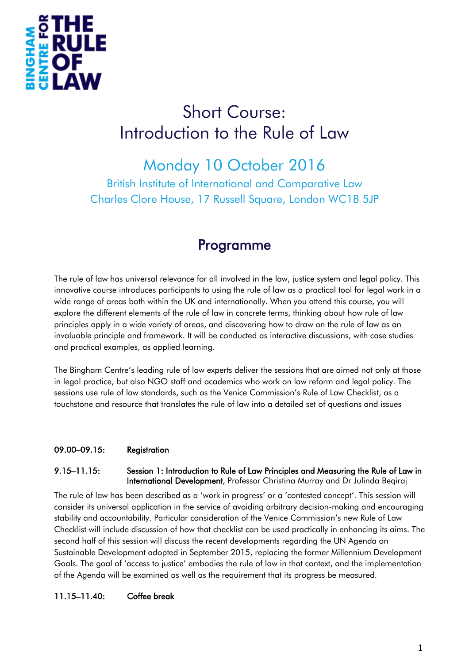

# Short Course: Introduction to the Rule of Law

# Monday 10 October 2016

British Institute of International and Comparative Law Charles Clore House, 17 Russell Square, London WC1B 5JP

# Programme

The rule of law has universal relevance for all involved in the law, justice system and legal policy. This innovative course introduces participants to using the rule of law as a practical tool for legal work in a wide range of areas both within the UK and internationally. When you attend this course, you will explore the different elements of the rule of law in concrete terms, thinking about how rule of law principles apply in a wide variety of areas, and discovering how to draw on the rule of law as an invaluable principle and framework. It will be conducted as interactive discussions, with case studies and practical examples, as applied learning.

The Bingham Centre's leading rule of law experts deliver the sessions that are aimed not only at those in legal practice, but also NGO staff and academics who work on law reform and legal policy. The sessions use rule of law standards, such as the Venice Commission's Rule of Law Checklist, as a touchstone and resource that translates the rule of law into a detailed set of questions and issues

# 09.00–09.15: Registration

#### 9.15–11.15: Session 1: Introduction to Rule of Law Principles and Measuring the Rule of Law in International Development, Professor Christina Murray and Dr Julinda Beqiraj

The rule of law has been described as a 'work in progress' or a 'contested concept'. This session will consider its universal application in the service of avoiding arbitrary decision-making and encouraging stability and accountability. Particular consideration of the Venice Commission's new Rule of Law Checklist will include discussion of how that checklist can be used practically in enhancing its aims. The second half of this session will discuss the recent developments regarding the UN Agenda on Sustainable Development adopted in September 2015, replacing the former Millennium Development Goals. The goal of 'access to justice' embodies the rule of law in that context, and the implementation of the Agenda will be examined as well as the requirement that its progress be measured.

# 11.15–11.40: Coffee break